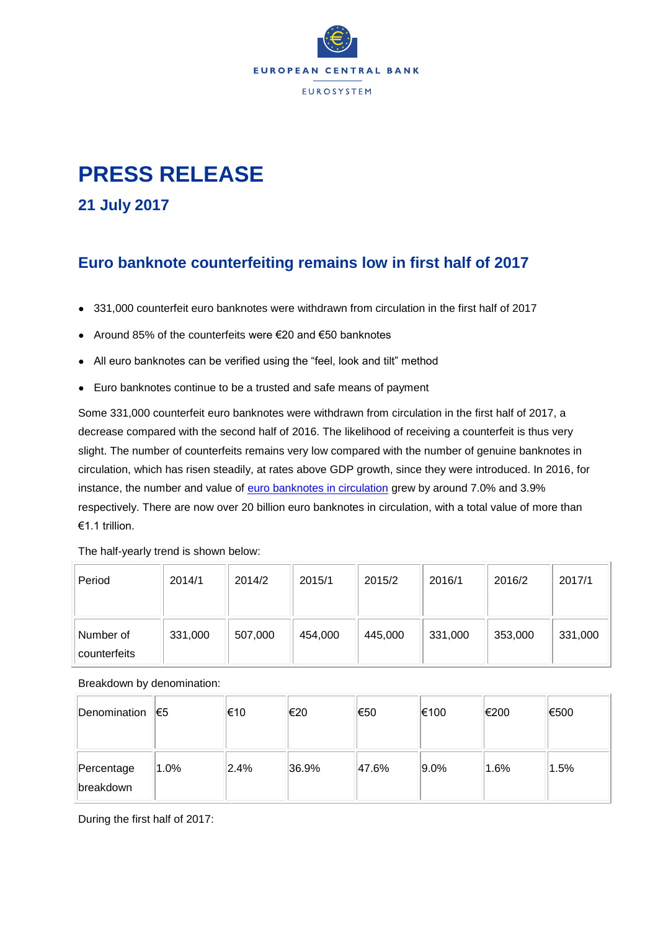

## **PRESS RELEASE**

**21 July 2017**

## **Euro banknote counterfeiting remains low in first half of 2017**

- 331,000 counterfeit euro banknotes were withdrawn from circulation in the first half of 2017
- $\bullet$  Around 85% of the counterfeits were €20 and €50 banknotes
- All euro banknotes can be verified using the "feel, look and tilt" method
- Euro banknotes continue to be a trusted and safe means of payment

Some 331,000 counterfeit euro banknotes were withdrawn from circulation in the first half of 2017, a decrease compared with the second half of 2016. The likelihood of receiving a counterfeit is thus very slight. The number of counterfeits remains very low compared with the number of genuine banknotes in circulation, which has risen steadily, at rates above GDP growth, since they were introduced. In 2016, for instance, the number and value of **euro banknotes in circulation** grew by around 7.0% and 3.9% respectively. There are now over 20 billion euro banknotes in circulation, with a total value of more than €1.1 trillion.

The half-yearly trend is shown below:

| Period                    | 2014/1  | 2014/2  | 2015/1  | 2015/2  | 2016/1  | 2016/2  | 2017/1  |
|---------------------------|---------|---------|---------|---------|---------|---------|---------|
| Number of<br>counterfeits | 331,000 | 507,000 | 454,000 | 445,000 | 331,000 | 353,000 | 331,000 |

Breakdown by denomination:

| Denomination                   | 1€5  | 1€10 | ∣€20  | ∣€50  | €100    | €200    | €500 |
|--------------------------------|------|------|-------|-------|---------|---------|------|
| Percentage<br><b>breakdown</b> | 1.0% | 2.4% | 36.9% | 47.6% | $9.0\%$ | $1.6\%$ | 1.5% |

During the first half of 2017: